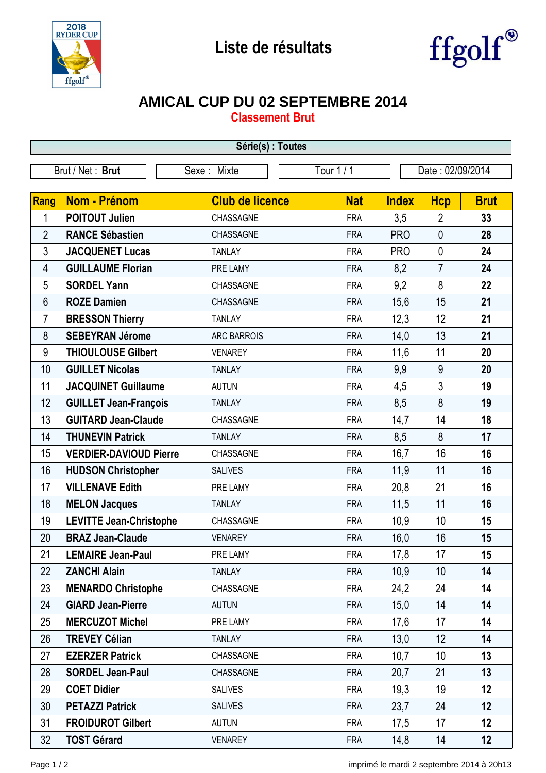



## **AMICAL CUP DU 02 SEPTEMBRE 2014**

**Classement Brut**

| Série(s) : Toutes |                                |                        |            |              |                  |             |  |  |  |
|-------------------|--------------------------------|------------------------|------------|--------------|------------------|-------------|--|--|--|
| Brut / Net: Brut  |                                | Sexe: Mixte            | Tour 1 / 1 |              | Date: 02/09/2014 |             |  |  |  |
| <b>Rang</b>       | <b>Nom - Prénom</b>            | <b>Club de licence</b> | <b>Nat</b> | <b>Index</b> | <b>Hcp</b>       | <b>Brut</b> |  |  |  |
| 1                 | <b>POITOUT Julien</b>          | CHASSAGNE              | <b>FRA</b> | 3,5          | $\overline{2}$   | 33          |  |  |  |
| $\overline{2}$    | <b>RANCE Sébastien</b>         | CHASSAGNE              | <b>FRA</b> | <b>PRO</b>   | $\mathbf{0}$     | 28          |  |  |  |
| 3                 | <b>JACQUENET Lucas</b>         | <b>TANLAY</b>          | <b>FRA</b> | <b>PRO</b>   | $\mathbf 0$      | 24          |  |  |  |
| 4                 | <b>GUILLAUME Florian</b>       | PRE LAMY               | <b>FRA</b> | 8,2          | $\overline{7}$   | 24          |  |  |  |
| 5                 | <b>SORDEL Yann</b>             | CHASSAGNE              | <b>FRA</b> | 9,2          | 8                | 22          |  |  |  |
| $6\phantom{1}$    | <b>ROZE Damien</b>             | CHASSAGNE              | <b>FRA</b> | 15,6         | 15               | 21          |  |  |  |
| 7                 | <b>BRESSON Thierry</b>         | <b>TANLAY</b>          | <b>FRA</b> | 12,3         | 12               | 21          |  |  |  |
| 8                 | <b>SEBEYRAN Jérome</b>         | <b>ARC BARROIS</b>     | <b>FRA</b> | 14,0         | 13               | 21          |  |  |  |
| 9                 | <b>THIOULOUSE Gilbert</b>      | <b>VENAREY</b>         | <b>FRA</b> | 11,6         | 11               | 20          |  |  |  |
| 10                | <b>GUILLET Nicolas</b>         | <b>TANLAY</b>          | <b>FRA</b> | 9,9          | 9                | 20          |  |  |  |
| 11                | <b>JACQUINET Guillaume</b>     | <b>AUTUN</b>           | <b>FRA</b> | 4,5          | 3                | 19          |  |  |  |
| 12                | <b>GUILLET Jean-François</b>   | <b>TANLAY</b>          | <b>FRA</b> | 8,5          | 8                | 19          |  |  |  |
| 13                | <b>GUITARD Jean-Claude</b>     | CHASSAGNE              | <b>FRA</b> | 14,7         | 14               | 18          |  |  |  |
| 14                | <b>THUNEVIN Patrick</b>        | <b>TANLAY</b>          | <b>FRA</b> | 8,5          | 8                | 17          |  |  |  |
| 15                | <b>VERDIER-DAVIOUD Pierre</b>  | CHASSAGNE              | <b>FRA</b> | 16,7         | 16               | 16          |  |  |  |
| 16                | <b>HUDSON Christopher</b>      | <b>SALIVES</b>         | <b>FRA</b> | 11,9         | 11               | 16          |  |  |  |
| 17                | <b>VILLENAVE Edith</b>         | PRE LAMY               | <b>FRA</b> | 20,8         | 21               | 16          |  |  |  |
| 18                | <b>MELON Jacques</b>           | <b>TANLAY</b>          | <b>FRA</b> | 11,5         | 11               | 16          |  |  |  |
| 19                | <b>LEVITTE Jean-Christophe</b> | CHASSAGNE              | <b>FRA</b> | 10,9         | 10               | 15          |  |  |  |
| 20                | <b>BRAZ Jean-Claude</b>        | <b>VENAREY</b>         | <b>FRA</b> | 16,0         | 16               | 15          |  |  |  |
| 21                | <b>LEMAIRE Jean-Paul</b>       | PRE LAMY               | <b>FRA</b> | 17,8         | 17               | 15          |  |  |  |
| 22                | <b>ZANCHI Alain</b>            | <b>TANLAY</b>          | <b>FRA</b> | 10,9         | 10               | 14          |  |  |  |
| 23                | <b>MENARDO Christophe</b>      | CHASSAGNE              | <b>FRA</b> | 24,2         | 24               | 14          |  |  |  |
| 24                | <b>GIARD Jean-Pierre</b>       | <b>AUTUN</b>           | <b>FRA</b> | 15,0         | 14               | 14          |  |  |  |
| 25                | <b>MERCUZOT Michel</b>         | PRE LAMY               | <b>FRA</b> | 17,6         | 17               | 14          |  |  |  |
| 26                | <b>TREVEY Célian</b>           | <b>TANLAY</b>          | <b>FRA</b> | 13,0         | 12               | 14          |  |  |  |
| 27                | <b>EZERZER Patrick</b>         | CHASSAGNE              | <b>FRA</b> | 10,7         | 10               | 13          |  |  |  |
| 28                | <b>SORDEL Jean-Paul</b>        | CHASSAGNE              | <b>FRA</b> | 20,7         | 21               | 13          |  |  |  |
| 29                | <b>COET Didier</b>             | <b>SALIVES</b>         | <b>FRA</b> | 19,3         | 19               | 12          |  |  |  |
| 30                | <b>PETAZZI Patrick</b>         | <b>SALIVES</b>         | <b>FRA</b> | 23,7         | 24               | 12          |  |  |  |
| 31                | <b>FROIDUROT Gilbert</b>       | <b>AUTUN</b>           | <b>FRA</b> | 17,5         | 17               | 12          |  |  |  |
| 32                | <b>TOST Gérard</b>             | <b>VENAREY</b>         | <b>FRA</b> | 14,8         | 14               | 12          |  |  |  |